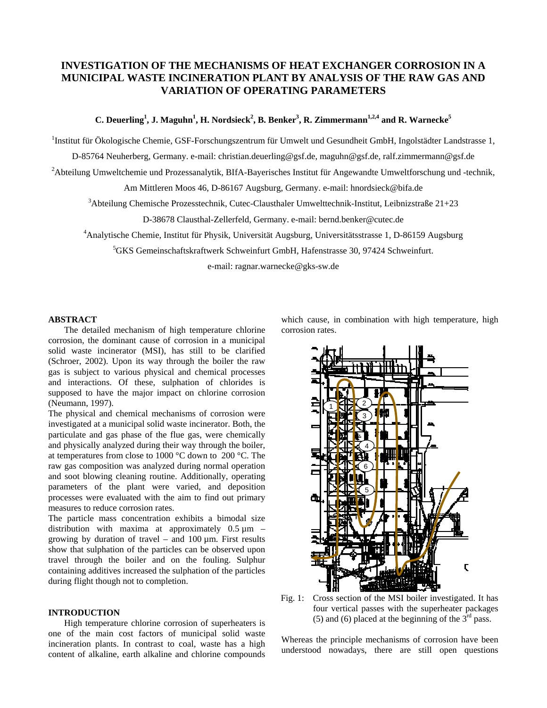# **INVESTIGATION OF THE MECHANISMS OF HEAT EXCHANGER CORROSION IN A MUNICIPAL WASTE INCINERATION PLANT BY ANALYSIS OF THE RAW GAS AND VARIATION OF OPERATING PARAMETERS**

# **C. Deuerling<sup>1</sup> , J. Maguhn<sup>1</sup> , H. Nordsieck<sup>2</sup> , B. Benker3 , R. Zimmermann1,2,4 and R. Warnecke5**

<sup>1</sup>Institut für Ökologische Chemie, GSF-Forschungszentrum für Umwelt und Gesundheit GmbH, Ingolstädter Landstrasse 1,

D-85764 Neuherberg, Germany. e-mail: christian.deuerling@gsf.de, maguhn@gsf.de, ralf.zimmermann@gsf.de

<sup>2</sup>Abteilung Umweltchemie und Prozessanalytik, BIfA-Bayerisches Institut für Angewandte Umweltforschung und -technik,

Am Mittleren Moos 46, D-86167 Augsburg, Germany. e-mail: hnordsieck@bifa.de

3 Abteilung Chemische Prozesstechnik, Cutec-Clausthaler Umwelttechnik-Institut, Leibnizstraße 21+23

D-38678 Clausthal-Zellerfeld, Germany. e-mail: bernd.benker@cutec.de

4 Analytische Chemie, Institut für Physik, Universität Augsburg, Universitätsstrasse 1, D-86159 Augsburg

5 GKS Gemeinschaftskraftwerk Schweinfurt GmbH, Hafenstrasse 30, 97424 Schweinfurt.

e-mail: ragnar.warnecke@gks-sw.de

## **ABSTRACT**

The detailed mechanism of high temperature chlorine corrosion, the dominant cause of corrosion in a municipal solid waste incinerator (MSI), has still to be clarified (Schroer, 2002). Upon its way through the boiler the raw gas is subject to various physical and chemical processes and interactions. Of these, sulphation of chlorides is supposed to have the major impact on chlorine corrosion (Neumann, 1997).

The physical and chemical mechanisms of corrosion were investigated at a municipal solid waste incinerator. Both, the particulate and gas phase of the flue gas, were chemically and physically analyzed during their way through the boiler, at temperatures from close to 1000 °C down to 200 °C. The raw gas composition was analyzed during normal operation and soot blowing cleaning routine. Additionally, operating parameters of the plant were varied, and deposition processes were evaluated with the aim to find out primary measures to reduce corrosion rates.

The particle mass concentration exhibits a bimodal size distribution with maxima at approximately  $0.5 \mu m$  – growing by duration of travel – and 100 µm. First results show that sulphation of the particles can be observed upon travel through the boiler and on the fouling. Sulphur containing additives increased the sulphation of the particles during flight though not to completion.

## **INTRODUCTION**

High temperature chlorine corrosion of superheaters is one of the main cost factors of municipal solid waste incineration plants. In contrast to coal, waste has a high content of alkaline, earth alkaline and chlorine compounds which cause, in combination with high temperature, high corrosion rates.



Fig. 1: Cross section of the MSI boiler investigated. It has four vertical passes with the superheater packages (5) and (6) placed at the beginning of the  $3<sup>rd</sup>$  pass.

Whereas the principle mechanisms of corrosion have been understood nowadays, there are still open questions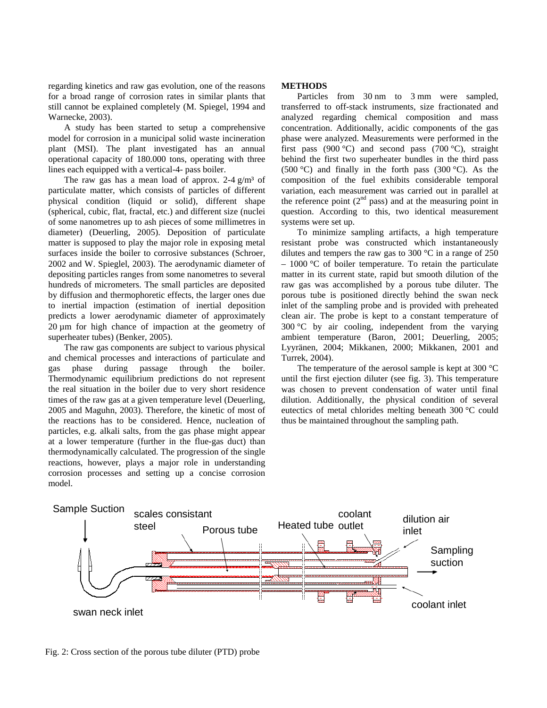regarding kinetics and raw gas evolution, one of the reasons for a broad range of corrosion rates in similar plants that still cannot be explained completely (M. Spiegel, 1994 and Warnecke, 2003).

A study has been started to setup a comprehensive model for corrosion in a municipal solid waste incineration plant (MSI). The plant investigated has an annual operational capacity of 180.000 tons, operating with three lines each equipped with a vertical-4- pass boiler.

The raw gas has a mean load of approx.  $2-4$  g/m<sup>3</sup> of particulate matter, which consists of particles of different physical condition (liquid or solid), different shape (spherical, cubic, flat, fractal, etc.) and different size (nuclei of some nanometres up to ash pieces of some millimetres in diameter) (Deuerling, 2005). Deposition of particulate matter is supposed to play the major role in exposing metal surfaces inside the boiler to corrosive substances (Schroer, 2002 and W. Spieglel, 2003). The aerodynamic diameter of depositing particles ranges from some nanometres to several hundreds of micrometers. The small particles are deposited by diffusion and thermophoretic effects, the larger ones due to inertial impaction (estimation of inertial deposition predicts a lower aerodynamic diameter of approximately  $20 \mu m$  for high chance of impaction at the geometry of superheater tubes) (Benker, 2005).

The raw gas components are subject to various physical and chemical processes and interactions of particulate and gas phase during passage through the boiler. Thermodynamic equilibrium predictions do not represent the real situation in the boiler due to very short residence times of the raw gas at a given temperature level (Deuerling, 2005 and Maguhn, 2003). Therefore, the kinetic of most of the reactions has to be considered. Hence, nucleation of particles, e.g. alkali salts, from the gas phase might appear at a lower temperature (further in the flue-gas duct) than thermodynamically calculated. The progression of the single reactions, however, plays a major role in understanding corrosion processes and setting up a concise corrosion model.

# **METHODS**

Particles from 30 nm to 3 mm were sampled, transferred to off-stack instruments, size fractionated and analyzed regarding chemical composition and mass concentration. Additionally, acidic components of the gas phase were analyzed. Measurements were performed in the first pass (900 $^{\circ}$ C) and second pass (700 $^{\circ}$ C), straight behind the first two superheater bundles in the third pass (500 °C) and finally in the forth pass (300 °C). As the composition of the fuel exhibits considerable temporal variation, each measurement was carried out in parallel at the reference point  $(2^{nd}$  pass) and at the measuring point in question. According to this, two identical measurement systems were set up.

To minimize sampling artifacts, a high temperature resistant probe was constructed which instantaneously dilutes and tempers the raw gas to 300 °C in a range of 250  $-1000$  °C of boiler temperature. To retain the particulate matter in its current state, rapid but smooth dilution of the raw gas was accomplished by a porous tube diluter. The porous tube is positioned directly behind the swan neck inlet of the sampling probe and is provided with preheated clean air. The probe is kept to a constant temperature of 300 °C by air cooling, independent from the varying ambient temperature (Baron, 2001; Deuerling, 2005; Lyyränen, 2004; Mikkanen, 2000; Mikkanen, 2001 and Turrek, 2004).

The temperature of the aerosol sample is kept at 300 °C until the first ejection diluter (see fig. 3). This temperature was chosen to prevent condensation of water until final dilution. Additionally, the physical condition of several eutectics of metal chlorides melting beneath 300 °C could thus be maintained throughout the sampling path.



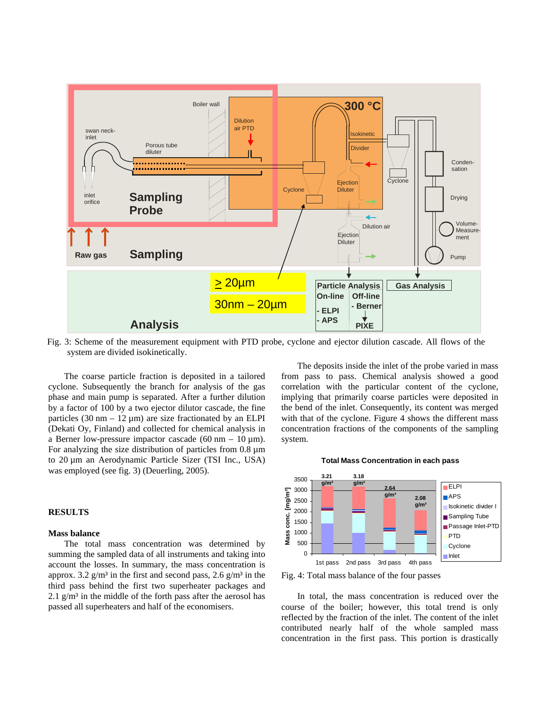

Fig. 3: Scheme of the measurement equipment with PTD probe, cyclone and ejector dilution cascade. All flows of the system are divided isokinetically.

The coarse particle fraction is deposited in a tailored cyclone. Subsequently the branch for analysis of the gas phase and main pump is separated. After a further dilution by a factor of 100 by a two ejector dilutor cascade, the fine particles  $(30 \text{ nm} - 12 \text{ µm})$  are size fractionated by an ELPI (Dekati Oy, Finland) and collected for chemical analysis in a Berner low-pressure impactor cascade (60 nm  $-10 \text{ µm}$ ). For analyzing the size distribution of particles from 0.8 µm to 20 µm an Aerodynamic Particle Sizer (TSI Inc., USA) was employed (see fig. 3) (Deuerling, 2005).

## **RESULTS**

## **Mass balance**

The total mass concentration was determined by summing the sampled data of all instruments and taking into account the losses. In summary, the mass concentration is approx. 3.2  $g/m<sup>3</sup>$  in the first and second pass, 2.6  $g/m<sup>3</sup>$  in the third pass behind the first two superheater packages and 2.1  $g/m<sup>3</sup>$  in the middle of the forth pass after the aerosol has passed all superheaters and half of the economisers.

The deposits inside the inlet of the probe varied in mass from pass to pass. Chemical analysis showed a good correlation with the particular content of the cyclone, implying that primarily coarse particles were deposited in the bend of the inlet. Consequently, its content was merged with that of the cyclone. Figure 4 shows the different mass concentration fractions of the components of the sampling system.



**Total Mass Concentration in each pass**

Fig. 4: Total mass balance of the four passes

In total, the mass concentration is reduced over the course of the boiler; however, this total trend is only reflected by the fraction of the inlet. The content of the inlet contributed nearly half of the whole sampled mass concentration in the first pass. This portion is drastically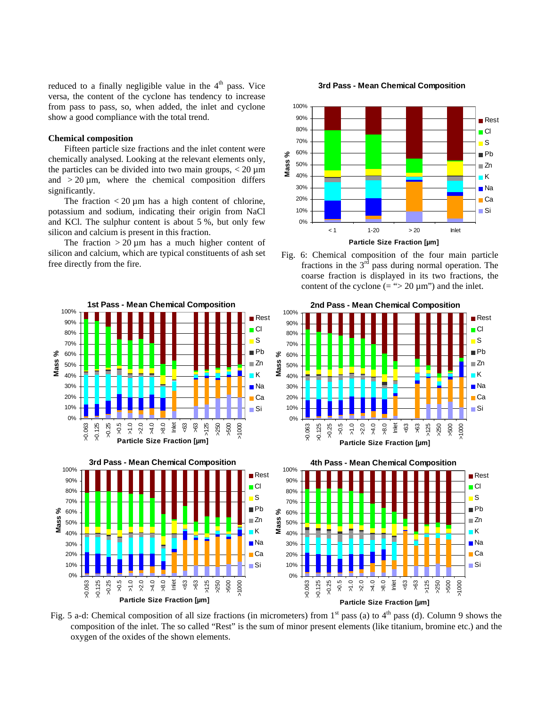reduced to a finally negligible value in the  $4<sup>th</sup>$  pass. Vice versa, the content of the cyclone has tendency to increase from pass to pass, so, when added, the inlet and cyclone show a good compliance with the total trend.

## **Chemical composition**

Fifteen particle size fractions and the inlet content were chemically analysed. Looking at the relevant elements only, the particles can be divided into two main groups,  $\langle 20 \mu m$ and  $> 20 \mu m$ , where the chemical composition differs significantly.

The fraction  $<$  20  $\mu$ m has a high content of chlorine, potassium and sodium, indicating their origin from NaCl and KCl. The sulphur content is about 5 %, but only few silicon and calcium is present in this fraction.

The fraction  $> 20 \mu m$  has a much higher content of silicon and calcium, which are typical constituents of ash set free directly from the fire.





**3rd Pass - Mean Chemical Composition** 









Fig. 5 a-d: Chemical composition of all size fractions (in micrometers) from  $1<sup>st</sup>$  pass (a) to  $4<sup>th</sup>$  pass (d). Column 9 shows the composition of the inlet. The so called "Rest" is the sum of minor present elements (like titanium, bromine etc.) and the oxygen of the oxides of the shown elements.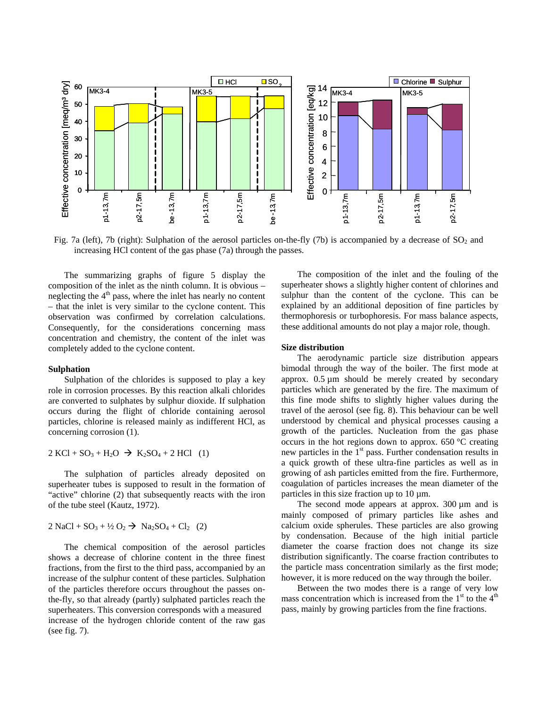

Fig. 7a (left), 7b (right): Sulphation of the aerosol particles on-the-fly (7b) is accompanied by a decrease of  $SO_2$  and increasing HCl content of the gas phase (7a) through the passes.

The summarizing graphs of figure 5 display the composition of the inlet as the ninth column. It is obvious – neglecting the  $4<sup>th</sup>$  pass, where the inlet has nearly no content – that the inlet is very similar to the cyclone content. This observation was confirmed by correlation calculations. Consequently, for the considerations concerning mass concentration and chemistry, the content of the inlet was completely added to the cyclone content.

#### **Sulphation**

Sulphation of the chlorides is supposed to play a key role in corrosion processes. By this reaction alkali chlorides are converted to sulphates by sulphur dioxide. If sulphation occurs during the flight of chloride containing aerosol particles, chlorine is released mainly as indifferent HCl, as concerning corrosion (1).

 $2 KCl + SO_3 + H_2O \rightarrow K_2SO_4 + 2 HCl$  (1)

The sulphation of particles already deposited on superheater tubes is supposed to result in the formation of "active" chlorine (2) that subsequently reacts with the iron of the tube steel (Kautz, 1972).

 $2 \text{ NaCl} + \text{SO}_3 + \frac{1}{2} \text{O}_2 \rightarrow \text{Na}_2\text{SO}_4 + \text{Cl}_2$  (2)

The chemical composition of the aerosol particles shows a decrease of chlorine content in the three finest fractions, from the first to the third pass, accompanied by an increase of the sulphur content of these particles. Sulphation of the particles therefore occurs throughout the passes onthe-fly, so that already (partly) sulphated particles reach the superheaters. This conversion corresponds with a measured increase of the hydrogen chloride content of the raw gas (see fig. 7).

The composition of the inlet and the fouling of the superheater shows a slightly higher content of chlorines and sulphur than the content of the cyclone. This can be explained by an additional deposition of fine particles by thermophoresis or turbophoresis. For mass balance aspects, these additional amounts do not play a major role, though.

### **Size distribution**

The aerodynamic particle size distribution appears bimodal through the way of the boiler. The first mode at approx.  $0.5 \mu m$  should be merely created by secondary particles which are generated by the fire. The maximum of this fine mode shifts to slightly higher values during the travel of the aerosol (see fig. 8). This behaviour can be well understood by chemical and physical processes causing a growth of the particles. Nucleation from the gas phase occurs in the hot regions down to approx. 650 °C creating new particles in the 1<sup>st</sup> pass. Further condensation results in a quick growth of these ultra-fine particles as well as in growing of ash particles emitted from the fire. Furthermore, coagulation of particles increases the mean diameter of the particles in this size fraction up to 10 µm.

The second mode appears at approx. 300  $\mu$ m and is mainly composed of primary particles like ashes and calcium oxide spherules. These particles are also growing by condensation. Because of the high initial particle diameter the coarse fraction does not change its size distribution significantly. The coarse fraction contributes to the particle mass concentration similarly as the first mode; however, it is more reduced on the way through the boiler.

Between the two modes there is a range of very low mass concentration which is increased from the  $1<sup>st</sup>$  to the  $4<sup>th</sup>$ pass, mainly by growing particles from the fine fractions.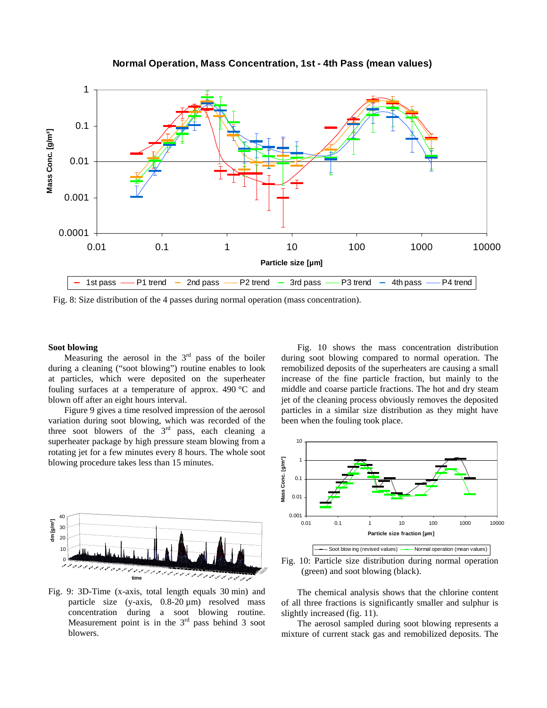

## **Normal Operation, Mass Concentration, 1st - 4th Pass (mean values)**

Fig. 8: Size distribution of the 4 passes during normal operation (mass concentration).

### **Soot blowing**

Measuring the aerosol in the  $3<sup>rd</sup>$  pass of the boiler during a cleaning ("soot blowing") routine enables to look at particles, which were deposited on the superheater fouling surfaces at a temperature of approx. 490 °C and blown off after an eight hours interval.

Figure 9 gives a time resolved impression of the aerosol variation during soot blowing, which was recorded of the three soot blowers of the  $3<sup>rd</sup>$  pass, each cleaning a superheater package by high pressure steam blowing from a rotating jet for a few minutes every 8 hours. The whole soot blowing procedure takes less than 15 minutes.



Fig. 9: 3D-Time (x-axis, total length equals 30 min) and particle size (y-axis,  $0.8-20 \,\mu m$ ) resolved mass concentration during a soot blowing routine. Measurement point is in the  $3<sup>rd</sup>$  pass behind 3 soot blowers.

Fig. 10 shows the mass concentration distribution during soot blowing compared to normal operation. The remobilized deposits of the superheaters are causing a small increase of the fine particle fraction, but mainly to the middle and coarse particle fractions. The hot and dry steam jet of the cleaning process obviously removes the deposited particles in a similar size distribution as they might have been when the fouling took place.



Fig. 10: Particle size distribution during normal operation (green) and soot blowing (black).

The chemical analysis shows that the chlorine content of all three fractions is significantly smaller and sulphur is slightly increased (fig. 11).

The aerosol sampled during soot blowing represents a mixture of current stack gas and remobilized deposits. The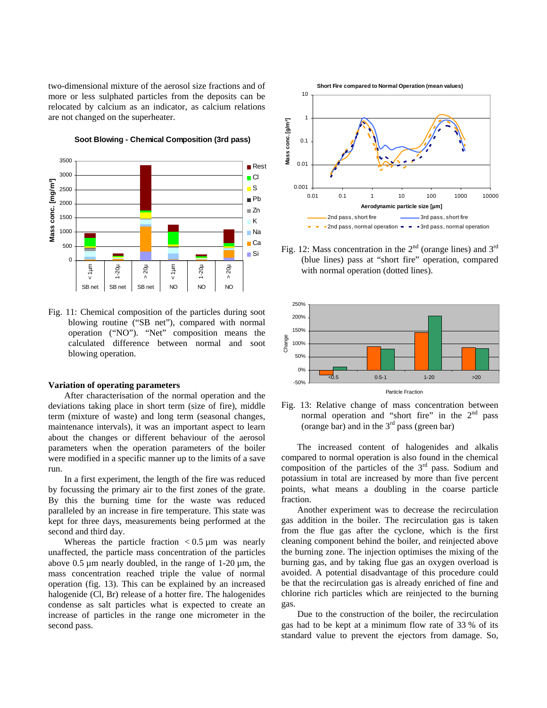two-dimensional mixture of the aerosol size fractions and of more or less sulphated particles from the deposits can be relocated by calcium as an indicator, as calcium relations are not changed on the superheater.



 **Soot Blowing - Chemical Composition (3rd pass)**

Fig. 11: Chemical composition of the particles during soot blowing routine ("SB net"), compared with normal operation ("NO"). "Net" composition means the calculated difference between normal and soot blowing operation.

## **Variation of operating parameters**

After characterisation of the normal operation and the deviations taking place in short term (size of fire), middle term (mixture of waste) and long term (seasonal changes, maintenance intervals), it was an important aspect to learn about the changes or different behaviour of the aerosol parameters when the operation parameters of the boiler were modified in a specific manner up to the limits of a save run.

In a first experiment, the length of the fire was reduced by focussing the primary air to the first zones of the grate. By this the burning time for the waste was reduced paralleled by an increase in fire temperature. This state was kept for three days, measurements being performed at the second and third day.

Whereas the particle fraction  $< 0.5 \mu m$  was nearly unaffected, the particle mass concentration of the particles above  $0.5 \mu$ m nearly doubled, in the range of  $1-20 \mu$ m, the mass concentration reached triple the value of normal operation (fig. 13). This can be explained by an increased halogenide (Cl, Br) release of a hotter fire. The halogenides condense as salt particles what is expected to create an increase of particles in the range one micrometer in the second pass.



**Short Fire compared to Normal Operation (mean values)**

Fig. 12: Mass concentration in the  $2<sup>nd</sup>$  (orange lines) and  $3<sup>rd</sup>$ (blue lines) pass at "short fire" operation, compared with normal operation (dotted lines).



Fig. 13: Relative change of mass concentration between normal operation and "short fire" in the  $2<sup>nd</sup>$  pass (orange bar) and in the  $3<sup>rd</sup>$  pass (green bar)

The increased content of halogenides and alkalis compared to normal operation is also found in the chemical composition of the particles of the  $3<sup>rd</sup>$  pass. Sodium and potassium in total are increased by more than five percent points, what means a doubling in the coarse particle fraction.

Another experiment was to decrease the recirculation gas addition in the boiler. The recirculation gas is taken from the flue gas after the cyclone, which is the first cleaning component behind the boiler, and reinjected above the burning zone. The injection optimises the mixing of the burning gas, and by taking flue gas an oxygen overload is avoided. A potential disadvantage of this procedure could be that the recirculation gas is already enriched of fine and chlorine rich particles which are reinjected to the burning gas.

Due to the construction of the boiler, the recirculation gas had to be kept at a minimum flow rate of 33 % of its standard value to prevent the ejectors from damage. So,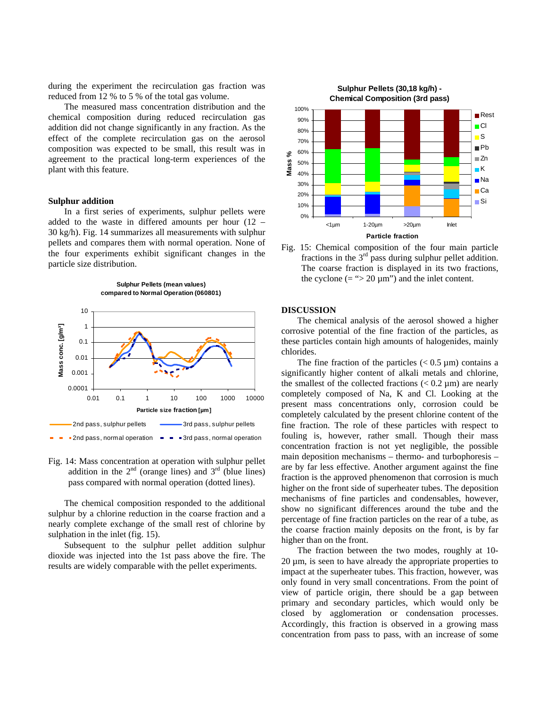during the experiment the recirculation gas fraction was reduced from 12 % to 5 % of the total gas volume.

The measured mass concentration distribution and the chemical composition during reduced recirculation gas addition did not change significantly in any fraction. As the effect of the complete recirculation gas on the aerosol composition was expected to be small, this result was in agreement to the practical long-term experiences of the plant with this feature.

## **Sulphur addition**

In a first series of experiments, sulphur pellets were added to the waste in differed amounts per hour (12 – 30 kg/h). Fig. 14 summarizes all measurements with sulphur pellets and compares them with normal operation. None of the four experiments exhibit significant changes in the particle size distribution.

**Sulphur Pellets (mean values) compared to Normal Operation (060801)**



Fig. 14: Mass concentration at operation with sulphur pellet addition in the  $2<sup>nd</sup>$  (orange lines) and  $3<sup>rd</sup>$  (blue lines) pass compared with normal operation (dotted lines).

The chemical composition responded to the additional sulphur by a chlorine reduction in the coarse fraction and a nearly complete exchange of the small rest of chlorine by sulphation in the inlet (fig. 15).

Subsequent to the sulphur pellet addition sulphur dioxide was injected into the 1st pass above the fire. The results are widely comparable with the pellet experiments.





### **DISCUSSION**

The chemical analysis of the aerosol showed a higher corrosive potential of the fine fraction of the particles, as these particles contain high amounts of halogenides, mainly chlorides.

The fine fraction of the particles  $(< 0.5 \mu m)$  contains a significantly higher content of alkali metals and chlorine, the smallest of the collected fractions  $(< 0.2 \mu m$ ) are nearly completely composed of Na, K and Cl. Looking at the present mass concentrations only, corrosion could be completely calculated by the present chlorine content of the fine fraction. The role of these particles with respect to fouling is, however, rather small. Though their mass concentration fraction is not yet negligible, the possible main deposition mechanisms – thermo- and turbophoresis – are by far less effective. Another argument against the fine fraction is the approved phenomenon that corrosion is much higher on the front side of superheater tubes. The deposition mechanisms of fine particles and condensables, however, show no significant differences around the tube and the percentage of fine fraction particles on the rear of a tube, as the coarse fraction mainly deposits on the front, is by far higher than on the front.

The fraction between the two modes, roughly at 10-  $20 \mu m$ , is seen to have already the appropriate properties to impact at the superheater tubes. This fraction, however, was only found in very small concentrations. From the point of view of particle origin, there should be a gap between primary and secondary particles, which would only be closed by agglomeration or condensation processes. Accordingly, this fraction is observed in a growing mass concentration from pass to pass, with an increase of some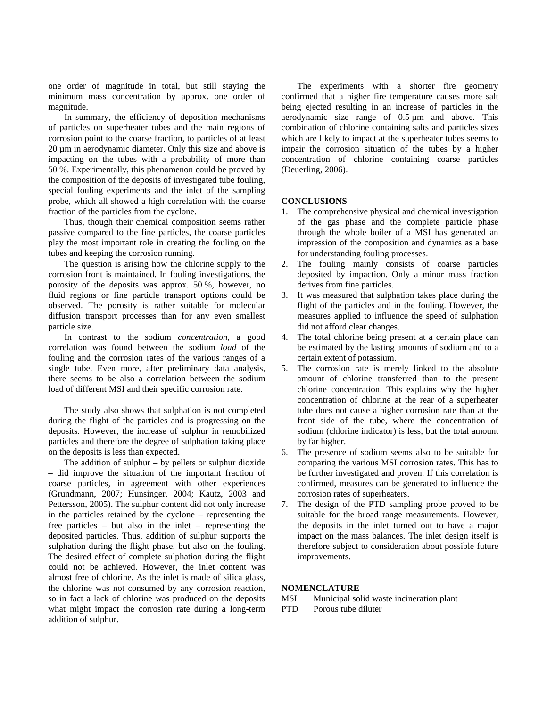one order of magnitude in total, but still staying the minimum mass concentration by approx. one order of magnitude.

In summary, the efficiency of deposition mechanisms of particles on superheater tubes and the main regions of corrosion point to the coarse fraction, to particles of at least 20 µm in aerodynamic diameter. Only this size and above is impacting on the tubes with a probability of more than 50 %. Experimentally, this phenomenon could be proved by the composition of the deposits of investigated tube fouling, special fouling experiments and the inlet of the sampling probe, which all showed a high correlation with the coarse fraction of the particles from the cyclone.

Thus, though their chemical composition seems rather passive compared to the fine particles, the coarse particles play the most important role in creating the fouling on the tubes and keeping the corrosion running.

The question is arising how the chlorine supply to the corrosion front is maintained. In fouling investigations, the porosity of the deposits was approx. 50 %, however, no fluid regions or fine particle transport options could be observed. The porosity is rather suitable for molecular diffusion transport processes than for any even smallest particle size.

In contrast to the sodium *concentration*, a good correlation was found between the sodium *load* of the fouling and the corrosion rates of the various ranges of a single tube. Even more, after preliminary data analysis, there seems to be also a correlation between the sodium load of different MSI and their specific corrosion rate.

The study also shows that sulphation is not completed during the flight of the particles and is progressing on the deposits. However, the increase of sulphur in remobilized particles and therefore the degree of sulphation taking place on the deposits is less than expected.

The addition of sulphur  $-$  by pellets or sulphur dioxide – did improve the situation of the important fraction of coarse particles, in agreement with other experiences (Grundmann, 2007; Hunsinger, 2004; Kautz, 2003 and Pettersson, 2005). The sulphur content did not only increase in the particles retained by the cyclone – representing the free particles – but also in the inlet – representing the deposited particles. Thus, addition of sulphur supports the sulphation during the flight phase, but also on the fouling. The desired effect of complete sulphation during the flight could not be achieved. However, the inlet content was almost free of chlorine. As the inlet is made of silica glass, the chlorine was not consumed by any corrosion reaction, so in fact a lack of chlorine was produced on the deposits what might impact the corrosion rate during a long-term addition of sulphur.

The experiments with a shorter fire geometry confirmed that a higher fire temperature causes more salt being ejected resulting in an increase of particles in the aerodynamic size range of 0.5 µm and above. This combination of chlorine containing salts and particles sizes which are likely to impact at the superheater tubes seems to impair the corrosion situation of the tubes by a higher concentration of chlorine containing coarse particles (Deuerling, 2006).

## **CONCLUSIONS**

- 1. The comprehensive physical and chemical investigation of the gas phase and the complete particle phase through the whole boiler of a MSI has generated an impression of the composition and dynamics as a base for understanding fouling processes.
- 2. The fouling mainly consists of coarse particles deposited by impaction. Only a minor mass fraction derives from fine particles.
- 3. It was measured that sulphation takes place during the flight of the particles and in the fouling. However, the measures applied to influence the speed of sulphation did not afford clear changes.
- 4. The total chlorine being present at a certain place can be estimated by the lasting amounts of sodium and to a certain extent of potassium.
- 5. The corrosion rate is merely linked to the absolute amount of chlorine transferred than to the present chlorine concentration. This explains why the higher concentration of chlorine at the rear of a superheater tube does not cause a higher corrosion rate than at the front side of the tube, where the concentration of sodium (chlorine indicator) is less, but the total amount by far higher.
- 6. The presence of sodium seems also to be suitable for comparing the various MSI corrosion rates. This has to be further investigated and proven. If this correlation is confirmed, measures can be generated to influence the corrosion rates of superheaters.
- 7. The design of the PTD sampling probe proved to be suitable for the broad range measurements. However, the deposits in the inlet turned out to have a major impact on the mass balances. The inlet design itself is therefore subject to consideration about possible future improvements.

### **NOMENCLATURE**

- MSI Municipal solid waste incineration plant
- PTD Porous tube diluter